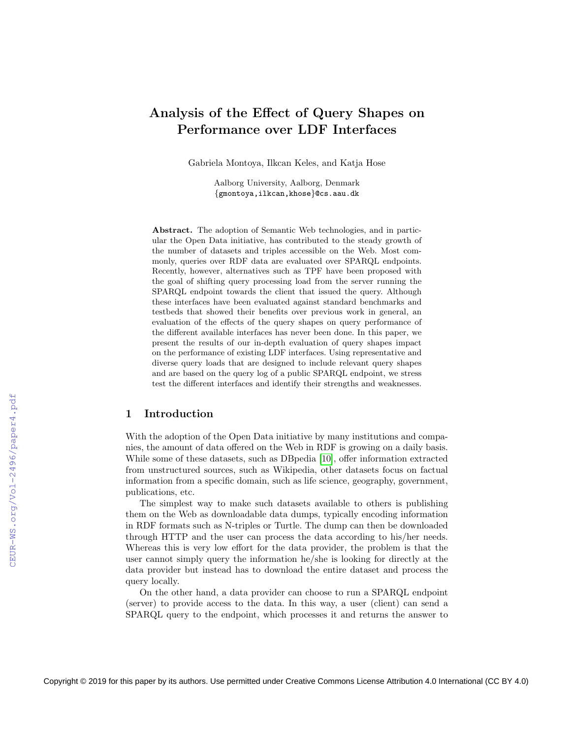# Analysis of the Effect of Query Shapes on Performance over LDF Interfaces

Gabriela Montoya, Ilkcan Keles, and Katja Hose

Aalborg University, Aalborg, Denmark {gmontoya,ilkcan,khose}@cs.aau.dk

Abstract. The adoption of Semantic Web technologies, and in particular the Open Data initiative, has contributed to the steady growth of the number of datasets and triples accessible on the Web. Most commonly, queries over RDF data are evaluated over SPARQL endpoints. Recently, however, alternatives such as TPF have been proposed with the goal of shifting query processing load from the server running the SPARQL endpoint towards the client that issued the query. Although these interfaces have been evaluated against standard benchmarks and testbeds that showed their benefits over previous work in general, an evaluation of the effects of the query shapes on query performance of the different available interfaces has never been done. In this paper, we present the results of our in-depth evaluation of query shapes impact on the performance of existing LDF interfaces. Using representative and diverse query loads that are designed to include relevant query shapes and are based on the query log of a public SPARQL endpoint, we stress test the different interfaces and identify their strengths and weaknesses.

## 1 Introduction

With the adoption of the Open Data initiative by many institutions and companies, the amount of data offered on the Web in RDF is growing on a daily basis. While some of these datasets, such as DBpedia [\[10\]](#page--1-0), offer information extracted from unstructured sources, such as Wikipedia, other datasets focus on factual information from a specific domain, such as life science, geography, government, publications, etc.

The simplest way to make such datasets available to others is publishing them on the Web as downloadable data dumps, typically encoding information in RDF formats such as N-triples or Turtle. The dump can then be downloaded through HTTP and the user can process the data according to his/her needs. Whereas this is very low effort for the data provider, the problem is that the user cannot simply query the information he/she is looking for directly at the data provider but instead has to download the entire dataset and process the query locally.

On the other hand, a data provider can choose to run a SPARQL endpoint (server) to provide access to the data. In this way, a user (client) can send a SPARQL query to the endpoint, which processes it and returns the answer to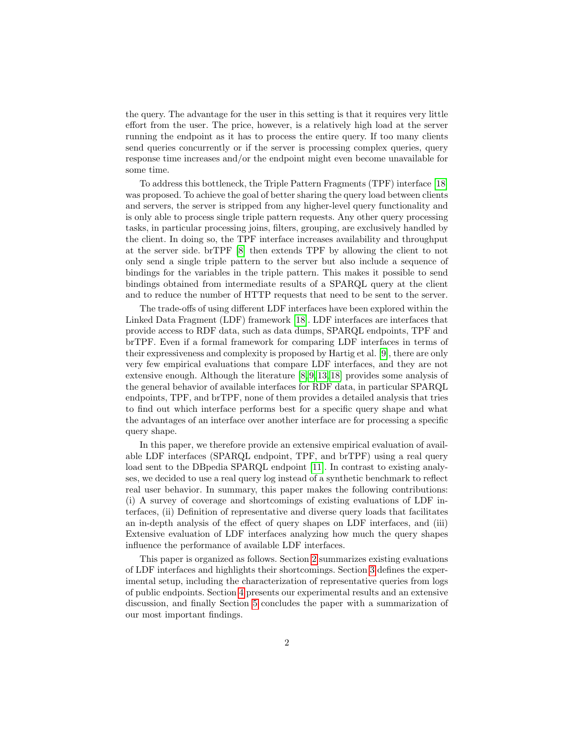the query. The advantage for the user in this setting is that it requires very little effort from the user. The price, however, is a relatively high load at the server running the endpoint as it has to process the entire query. If too many clients send queries concurrently or if the server is processing complex queries, query response time increases and/or the endpoint might even become unavailable for some time.

To address this bottleneck, the Triple Pattern Fragments (TPF) interface [\[18\]](#page-15-0) was proposed. To achieve the goal of better sharing the query load between clients and servers, the server is stripped from any higher-level query functionality and is only able to process single triple pattern requests. Any other query processing tasks, in particular processing joins, filters, grouping, are exclusively handled by the client. In doing so, the TPF interface increases availability and throughput at the server side. brTPF [\[8\]](#page-15-1) then extends TPF by allowing the client to not only send a single triple pattern to the server but also include a sequence of bindings for the variables in the triple pattern. This makes it possible to send bindings obtained from intermediate results of a SPARQL query at the client and to reduce the number of HTTP requests that need to be sent to the server.

The trade-offs of using different LDF interfaces have been explored within the Linked Data Fragment (LDF) framework [\[18\]](#page-15-0). LDF interfaces are interfaces that provide access to RDF data, such as data dumps, SPARQL endpoints, TPF and brTPF. Even if a formal framework for comparing LDF interfaces in terms of their expressiveness and complexity is proposed by Hartig et al. [\[9\]](#page-15-2), there are only very few empirical evaluations that compare LDF interfaces, and they are not extensive enough. Although the literature [\[8,](#page-15-1) [9,](#page-15-2) [13,](#page-15-3) [18\]](#page-15-0) provides some analysis of the general behavior of available interfaces for RDF data, in particular SPARQL endpoints, TPF, and brTPF, none of them provides a detailed analysis that tries to find out which interface performs best for a specific query shape and what the advantages of an interface over another interface are for processing a specific query shape.

In this paper, we therefore provide an extensive empirical evaluation of available LDF interfaces (SPARQL endpoint, TPF, and brTPF) using a real query load sent to the DBpedia SPARQL endpoint [\[11\]](#page-15-4). In contrast to existing analyses, we decided to use a real query log instead of a synthetic benchmark to reflect real user behavior. In summary, this paper makes the following contributions: (i) A survey of coverage and shortcomings of existing evaluations of LDF interfaces, (ii) Definition of representative and diverse query loads that facilitates an in-depth analysis of the effect of query shapes on LDF interfaces, and (iii) Extensive evaluation of LDF interfaces analyzing how much the query shapes influence the performance of available LDF interfaces.

This paper is organized as follows. Section [2](#page-2-0) summarizes existing evaluations of LDF interfaces and highlights their shortcomings. Section [3](#page-3-0) defines the experimental setup, including the characterization of representative queries from logs of public endpoints. Section [4](#page-7-0) presents our experimental results and an extensive discussion, and finally Section [5](#page-14-0) concludes the paper with a summarization of our most important findings.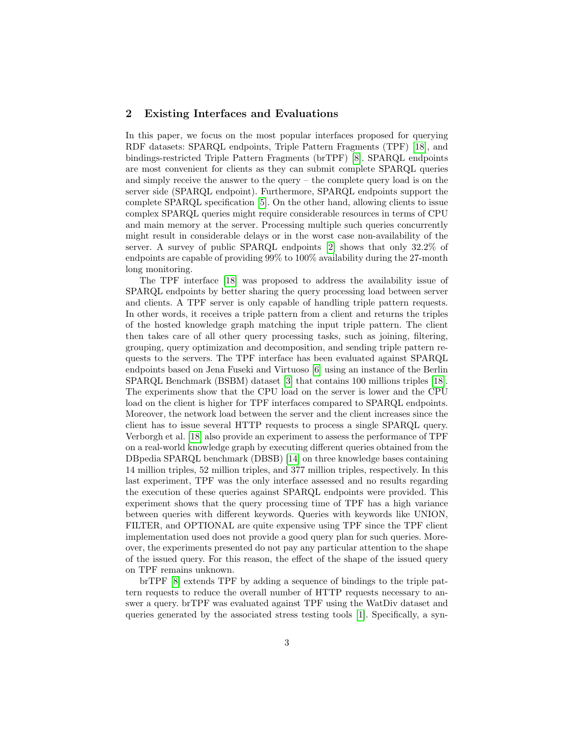## <span id="page-2-0"></span>2 Existing Interfaces and Evaluations

In this paper, we focus on the most popular interfaces proposed for querying RDF datasets: SPARQL endpoints, Triple Pattern Fragments (TPF) [\[18\]](#page-15-0), and bindings-restricted Triple Pattern Fragments (brTPF) [\[8\]](#page-15-1). SPARQL endpoints are most convenient for clients as they can submit complete SPARQL queries and simply receive the answer to the query – the complete query load is on the server side (SPARQL endpoint). Furthermore, SPARQL endpoints support the complete SPARQL specification [\[5\]](#page-15-5). On the other hand, allowing clients to issue complex SPARQL queries might require considerable resources in terms of CPU and main memory at the server. Processing multiple such queries concurrently might result in considerable delays or in the worst case non-availability of the server. A survey of public SPARQL endpoints [\[2\]](#page-15-6) shows that only 32.2% of endpoints are capable of providing 99% to 100% availability during the 27-month long monitoring.

The TPF interface [\[18\]](#page-15-0) was proposed to address the availability issue of SPARQL endpoints by better sharing the query processing load between server and clients. A TPF server is only capable of handling triple pattern requests. In other words, it receives a triple pattern from a client and returns the triples of the hosted knowledge graph matching the input triple pattern. The client then takes care of all other query processing tasks, such as joining, filtering, grouping, query optimization and decomposition, and sending triple pattern requests to the servers. The TPF interface has been evaluated against SPARQL endpoints based on Jena Fuseki and Virtuoso [\[6\]](#page-15-7) using an instance of the Berlin SPARQL Benchmark (BSBM) dataset [\[3\]](#page-15-8) that contains 100 millions triples [\[18\]](#page-15-0). The experiments show that the CPU load on the server is lower and the CPU load on the client is higher for TPF interfaces compared to SPARQL endpoints. Moreover, the network load between the server and the client increases since the client has to issue several HTTP requests to process a single SPARQL query. Verborgh et al. [\[18\]](#page-15-0) also provide an experiment to assess the performance of TPF on a real-world knowledge graph by executing different queries obtained from the DBpedia SPARQL benchmark (DBSB) [\[14\]](#page-15-9) on three knowledge bases containing 14 million triples, 52 million triples, and 377 million triples, respectively. In this last experiment, TPF was the only interface assessed and no results regarding the execution of these queries against SPARQL endpoints were provided. This experiment shows that the query processing time of TPF has a high variance between queries with different keywords. Queries with keywords like UNION, FILTER, and OPTIONAL are quite expensive using TPF since the TPF client implementation used does not provide a good query plan for such queries. Moreover, the experiments presented do not pay any particular attention to the shape of the issued query. For this reason, the effect of the shape of the issued query on TPF remains unknown.

brTPF [\[8\]](#page-15-1) extends TPF by adding a sequence of bindings to the triple pattern requests to reduce the overall number of HTTP requests necessary to answer a query. brTPF was evaluated against TPF using the WatDiv dataset and queries generated by the associated stress testing tools [\[1\]](#page-15-10). Specifically, a syn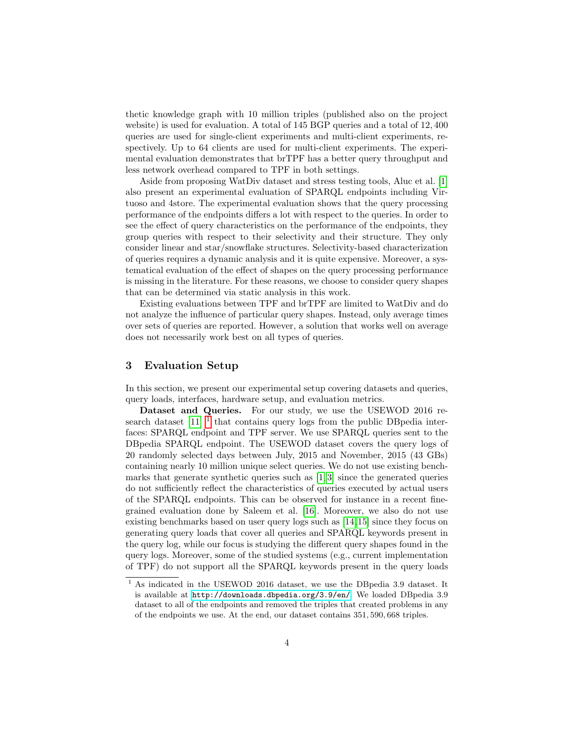thetic knowledge graph with 10 million triples (published also on the project website) is used for evaluation. A total of 145 BGP queries and a total of 12, 400 queries are used for single-client experiments and multi-client experiments, respectively. Up to 64 clients are used for multi-client experiments. The experimental evaluation demonstrates that brTPF has a better query throughput and less network overhead compared to TPF in both settings.

Aside from proposing WatDiv dataset and stress testing tools, Aluc et al. [\[1\]](#page-15-10) also present an experimental evaluation of SPARQL endpoints including Virtuoso and 4store. The experimental evaluation shows that the query processing performance of the endpoints differs a lot with respect to the queries. In order to see the effect of query characteristics on the performance of the endpoints, they group queries with respect to their selectivity and their structure. They only consider linear and star/snowflake structures. Selectivity-based characterization of queries requires a dynamic analysis and it is quite expensive. Moreover, a systematical evaluation of the effect of shapes on the query processing performance is missing in the literature. For these reasons, we choose to consider query shapes that can be determined via static analysis in this work.

Existing evaluations between TPF and brTPF are limited to WatDiv and do not analyze the influence of particular query shapes. Instead, only average times over sets of queries are reported. However, a solution that works well on average does not necessarily work best on all types of queries.

# <span id="page-3-0"></span>3 Evaluation Setup

In this section, we present our experimental setup covering datasets and queries, query loads, interfaces, hardware setup, and evaluation metrics.

Dataset and Queries. For our study, we use the USEWOD 2016 research dataset  $[11]$ <sup>[1](#page-3-1)</sup> that contains query logs from the public DB pedia interfaces: SPARQL endpoint and TPF server. We use SPARQL queries sent to the DBpedia SPARQL endpoint. The USEWOD dataset covers the query logs of 20 randomly selected days between July, 2015 and November, 2015 (43 GBs) containing nearly 10 million unique select queries. We do not use existing benchmarks that generate synthetic queries such as [\[1,](#page-15-10) [3\]](#page-15-8) since the generated queries do not sufficiently reflect the characteristics of queries executed by actual users of the SPARQL endpoints. This can be observed for instance in a recent finegrained evaluation done by Saleem et al. [\[16\]](#page-15-11). Moreover, we also do not use existing benchmarks based on user query logs such as [\[14,](#page-15-9)[15\]](#page-15-12) since they focus on generating query loads that cover all queries and SPARQL keywords present in the query log, while our focus is studying the different query shapes found in the query logs. Moreover, some of the studied systems (e.g., current implementation of TPF) do not support all the SPARQL keywords present in the query loads

<span id="page-3-1"></span> $\overline{1}$  As indicated in the USEWOD 2016 dataset, we use the DBpedia 3.9 dataset. It is available at <http://downloads.dbpedia.org/3.9/en/>. We loaded DBpedia 3.9 dataset to all of the endpoints and removed the triples that created problems in any of the endpoints we use. At the end, our dataset contains 351, 590, 668 triples.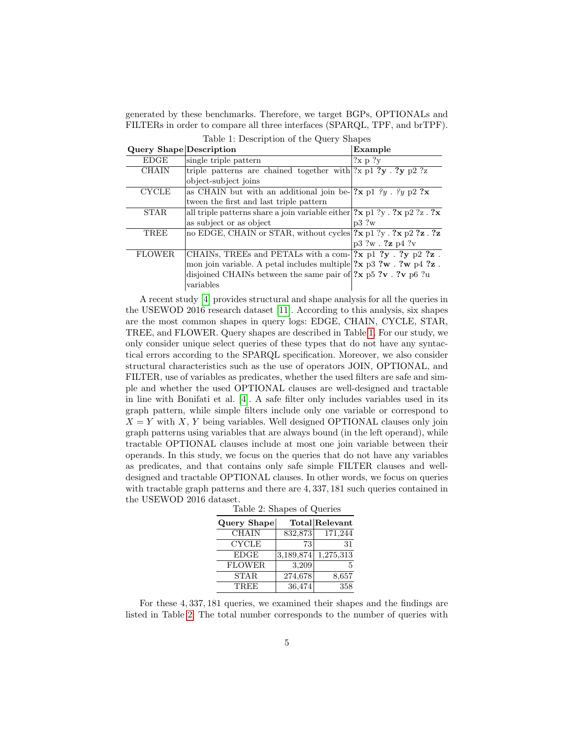generated by these benchmarks. Therefore, we target BGPs, OPTIONALs and FILTERs in order to compare all three interfaces (SPARQL, TPF, and brTPF).

<span id="page-4-0"></span>

| Query Shape Description |                                                                                                                | Example          |  |
|-------------------------|----------------------------------------------------------------------------------------------------------------|------------------|--|
| EDGE                    | single triple pattern                                                                                          | ?x p ?v          |  |
| <b>CHAIN</b>            | triple patterns are chained together with $ 2x  \approx 2y \approx 2$ is                                       |                  |  |
|                         | object-subject joins                                                                                           |                  |  |
| <b>CYCLE</b>            | as CHAIN but with an additional join be- $ 2x p1 \nvert y \nvert y p2 \nvert x$                                |                  |  |
|                         | tween the first and last triple pattern                                                                        |                  |  |
| <b>STAR</b>             | all triple patterns share a join variable either $(2x p1 ?y . 2x p2 ?z . 2x$                                   |                  |  |
|                         | as subject or as object                                                                                        | p3.2w            |  |
| TREE                    | no EDGE, CHAIN or STAR, without cycles $2x p1 2y$ . $2x p2 2z$ . $2z$                                          |                  |  |
|                         |                                                                                                                | p3 ?w . ?z p4 ?v |  |
| <b>FLOWER</b>           | CHAINS, TREES and PETALS with a com- $ ?x p1 ?y . ?y p2 ?z$ .                                                  |                  |  |
|                         | mon join variable. A petal includes multiple $?\mathbf{x}$ p3 $?\mathbf{w}$ . $?\mathbf{w}$ p4 $?\mathbf{z}$ . |                  |  |
|                         | disjoined CHAINs between the same pair of $2x$ p5 $2v$ . Tv p6 $2u$                                            |                  |  |
|                         | variables                                                                                                      |                  |  |

Table 1: Description of the Query Shapes

A recent study [\[4\]](#page-15-13) provides structural and shape analysis for all the queries in the USEWOD 2016 research dataset [\[11\]](#page-15-4). According to this analysis, six shapes are the most common shapes in query logs: EDGE, CHAIN, CYCLE, STAR, TREE, and FLOWER. Query shapes are described in Table [1.](#page-4-0) For our study, we only consider unique select queries of these types that do not have any syntactical errors according to the SPARQL specification. Moreover, we also consider structural characteristics such as the use of operators JOIN, OPTIONAL, and FILTER, use of variables as predicates, whether the used filters are safe and simple and whether the used OPTIONAL clauses are well-designed and tractable in line with Bonifati et al. [\[4\]](#page-15-13). A safe filter only includes variables used in its graph pattern, while simple filters include only one variable or correspond to  $X = Y$  with X, Y being variables. Well designed OPTIONAL clauses only join graph patterns using variables that are always bound (in the left operand), while tractable OPTIONAL clauses include at most one join variable between their operands. In this study, we focus on the queries that do not have any variables as predicates, and that contains only safe simple FILTER clauses and welldesigned and tractable OPTIONAL clauses. In other words, we focus on queries with tractable graph patterns and there are 4, 337, 181 such queries contained in the USEWOD 2016 dataset.

Table 2: Shapes of Queries

| Query Shape   |           | Total Relevant |  |
|---------------|-----------|----------------|--|
| <b>CHAIN</b>  | 832,873   | 171,244        |  |
| <b>CYCLE</b>  | 73        | 31             |  |
| <b>EDGE</b>   | 3,189,874 | 1,275,313      |  |
| <b>FLOWER</b> | 3,209     |                |  |
| <b>STAR</b>   | 274,678   | 8,657          |  |
| <b>TREE</b>   | 36,474    | 358            |  |

<span id="page-4-1"></span>For these 4, 337, 181 queries, we examined their shapes and the findings are listed in Table [2.](#page-4-1) The total number corresponds to the number of queries with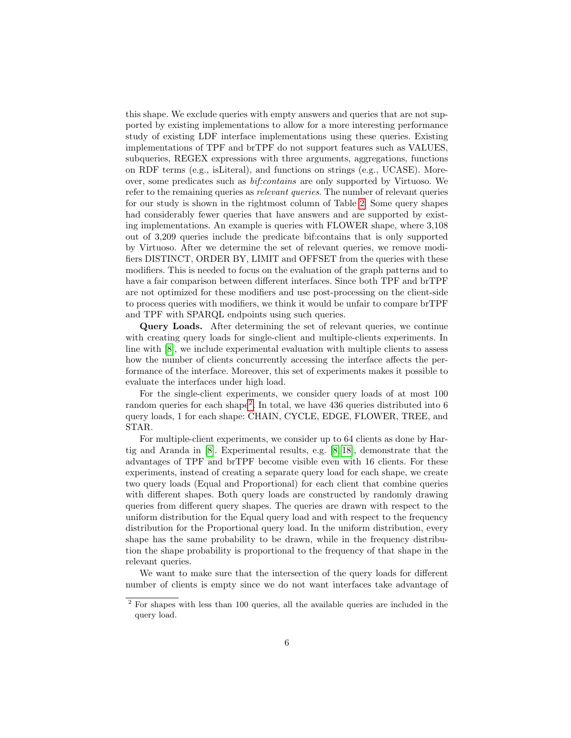this shape. We exclude queries with empty answers and queries that are not supported by existing implementations to allow for a more interesting performance study of existing LDF interface implementations using these queries. Existing implementations of TPF and brTPF do not support features such as VALUES, subqueries, REGEX expressions with three arguments, aggregations, functions on RDF terms (e.g., isLiteral), and functions on strings (e.g., UCASE). Moreover, some predicates such as bif:contains are only supported by Virtuoso. We refer to the remaining queries as relevant queries. The number of relevant queries for our study is shown in the rightmost column of Table [2.](#page-4-1) Some query shapes had considerably fewer queries that have answers and are supported by existing implementations. An example is queries with FLOWER shape, where 3,108 out of 3,209 queries include the predicate bif:contains that is only supported by Virtuoso. After we determine the set of relevant queries, we remove modifiers DISTINCT, ORDER BY, LIMIT and OFFSET from the queries with these modifiers. This is needed to focus on the evaluation of the graph patterns and to have a fair comparison between different interfaces. Since both TPF and brTPF are not optimized for these modifiers and use post-processing on the client-side to process queries with modifiers, we think it would be unfair to compare brTPF and TPF with SPARQL endpoints using such queries.

Query Loads. After determining the set of relevant queries, we continue with creating query loads for single-client and multiple-clients experiments. In line with [\[8\]](#page-15-1), we include experimental evaluation with multiple clients to assess how the number of clients concurrently accessing the interface affects the performance of the interface. Moreover, this set of experiments makes it possible to evaluate the interfaces under high load.

For the single-client experiments, we consider query loads of at most 100 random queries for each shape<sup>[2](#page-5-0)</sup>. In total, we have  $436$  queries distributed into 6 query loads, 1 for each shape: CHAIN, CYCLE, EDGE, FLOWER, TREE, and STAR.

For multiple-client experiments, we consider up to 64 clients as done by Hartig and Aranda in [\[8\]](#page-15-1). Experimental results, e.g. [\[8,](#page-15-1) [18\]](#page-15-0), demonstrate that the advantages of TPF and brTPF become visible even with 16 clients. For these experiments, instead of creating a separate query load for each shape, we create two query loads (Equal and Proportional) for each client that combine queries with different shapes. Both query loads are constructed by randomly drawing queries from different query shapes. The queries are drawn with respect to the uniform distribution for the Equal query load and with respect to the frequency distribution for the Proportional query load. In the uniform distribution, every shape has the same probability to be drawn, while in the frequency distribution the shape probability is proportional to the frequency of that shape in the relevant queries.

We want to make sure that the intersection of the query loads for different number of clients is empty since we do not want interfaces take advantage of

<span id="page-5-0"></span><sup>2</sup> For shapes with less than 100 queries, all the available queries are included in the query load.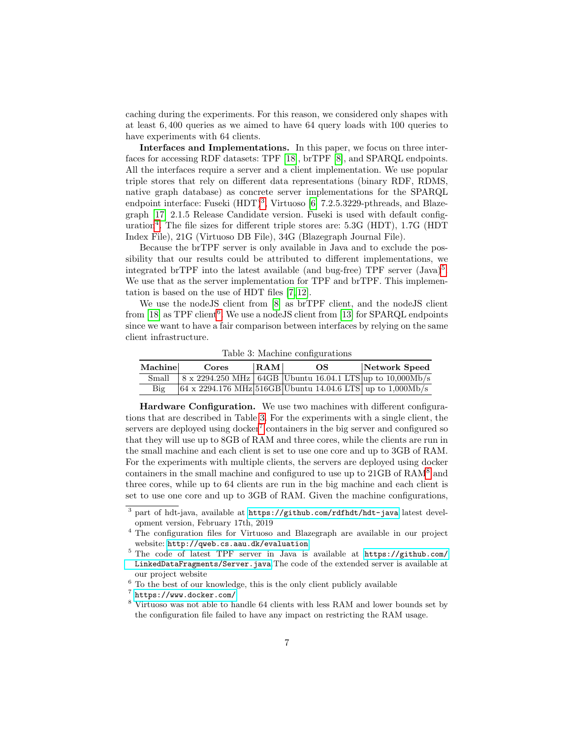caching during the experiments. For this reason, we considered only shapes with at least 6, 400 queries as we aimed to have 64 query loads with 100 queries to have experiments with 64 clients.

Interfaces and Implementations. In this paper, we focus on three interfaces for accessing RDF datasets: TPF [\[18\]](#page-15-0), brTPF [\[8\]](#page-15-1), and SPARQL endpoints. All the interfaces require a server and a client implementation. We use popular triple stores that rely on different data representations (binary RDF, RDMS, native graph database) as concrete server implementations for the SPARQL endpoint interface: Fuseki (HDT)<sup>[3](#page-6-0)</sup>, Virtuoso [\[6\]](#page-15-7) 7.2.5.3229-pthreads, and Blazegraph [\[17\]](#page-15-14) 2.1.5 Release Candidate version. Fuseki is used with default configuration[4](#page-6-1) . The file sizes for different triple stores are: 5.3G (HDT), 1.7G (HDT Index File), 21G (Virtuoso DB File), 34G (Blazegraph Journal File).

Because the brTPF server is only available in Java and to exclude the possibility that our results could be attributed to different implementations, we integrated brTPF into the latest available (and bug-free) TPF server  $(\text{Java})^5$  $(\text{Java})^5$ . We use that as the server implementation for TPF and brTPF. This implementation is based on the use of HDT files [\[7,](#page-15-15) [12\]](#page-15-16).

We use the nodeJS client from [\[8\]](#page-15-1) as brTPF client, and the nodeJS client from [\[18\]](#page-15-0) as TPF client<sup>[6](#page-6-3)</sup>. We use a node JS client from [\[13\]](#page-15-3) for SPARQL endpoints since we want to have a fair comparison between interfaces by relying on the same client infrastructure.

<span id="page-6-4"></span>

| Machine | Cores | RAM | OS. | Network Speed                                                                      |
|---------|-------|-----|-----|------------------------------------------------------------------------------------|
| Small   |       |     |     | $8 \times 2294.250 \text{ MHz}$ 64GB Ubuntu 16.04.1 LTS up to 10,000Mb/s           |
| Big     |       |     |     | $(64 \times 2294.176 \text{ MHz} 516 \text{GB}$ Ubuntu 14.04.6 LTS up to 1,000Mb/s |

Table 3: Machine configurations

Hardware Configuration. We use two machines with different configurations that are described in Table [3.](#page-6-4) For the experiments with a single client, the servers are deployed using docker<sup>[7](#page-6-5)</sup> containers in the big server and configured so that they will use up to 8GB of RAM and three cores, while the clients are run in the small machine and each client is set to use one core and up to 3GB of RAM. For the experiments with multiple clients, the servers are deployed using docker containers in the small machine and configured to use up to 21GB of RAM[8](#page-6-6) and three cores, while up to 64 clients are run in the big machine and each client is set to use one core and up to 3GB of RAM. Given the machine configurations,

<span id="page-6-0"></span><sup>3</sup> part of hdt-java, available at <https://github.com/rdfhdt/hdt-java> latest development version, February 17th, 2019

<span id="page-6-1"></span><sup>&</sup>lt;sup>4</sup> The configuration files for Virtuoso and Blazegraph are available in our project website: <http://qweb.cs.aau.dk/evaluation>

<span id="page-6-2"></span><sup>5</sup> The code of latest TPF server in Java is available at [https://github.com/](https://github.com/LinkedDataFragments/Server.java) [LinkedDataFragments/Server.java](https://github.com/LinkedDataFragments/Server.java).The code of the extended server is available at our project website

<span id="page-6-3"></span> $^6$  To the best of our knowledge, this is the only client publicly available

<span id="page-6-5"></span><sup>7</sup> <https://www.docker.com/>

<span id="page-6-6"></span><sup>8</sup> Virtuoso was not able to handle 64 clients with less RAM and lower bounds set by the configuration file failed to have any impact on restricting the RAM usage.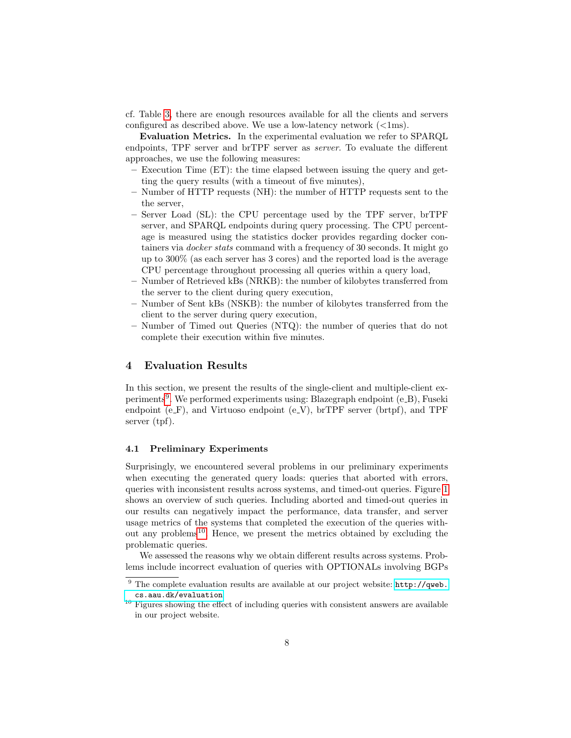cf. Table [3,](#page-6-4) there are enough resources available for all the clients and servers configured as described above. We use a low-latency network  $\langle \langle 1 \rangle$ .

Evaluation Metrics. In the experimental evaluation we refer to SPARQL endpoints, TPF server and brTPF server as server. To evaluate the different approaches, we use the following measures:

- Execution Time (ET): the time elapsed between issuing the query and getting the query results (with a timeout of five minutes),
- Number of HTTP requests (NH): the number of HTTP requests sent to the the server,
- Server Load (SL): the CPU percentage used by the TPF server, brTPF server, and SPARQL endpoints during query processing. The CPU percentage is measured using the statistics docker provides regarding docker containers via docker stats command with a frequency of 30 seconds. It might go up to 300% (as each server has 3 cores) and the reported load is the average CPU percentage throughout processing all queries within a query load,
- Number of Retrieved kBs (NRKB): the number of kilobytes transferred from the server to the client during query execution,
- Number of Sent kBs (NSKB): the number of kilobytes transferred from the client to the server during query execution,
- Number of Timed out Queries (NTQ): the number of queries that do not complete their execution within five minutes.

# <span id="page-7-0"></span>4 Evaluation Results

In this section, we present the results of the single-client and multiple-client ex-periments<sup>[9](#page-7-1)</sup>. We performed experiments using: Blazegraph endpoint (e\_B), Fuseki endpoint (e $\mathbb{F}$ ), and Virtuoso endpoint (e $\mathbb{V}$ ), brTPF server (brtpf), and TPF server (tpf).

### 4.1 Preliminary Experiments

Surprisingly, we encountered several problems in our preliminary experiments when executing the generated query loads: queries that aborted with errors, queries with inconsistent results across systems, and timed-out queries. Figure [1](#page-8-0) shows an overview of such queries. Including aborted and timed-out queries in our results can negatively impact the performance, data transfer, and server usage metrics of the systems that completed the execution of the queries with-out any problems<sup>[10](#page-7-2)</sup>. Hence, we present the metrics obtained by excluding the problematic queries.

We assessed the reasons why we obtain different results across systems. Problems include incorrect evaluation of queries with OPTIONALs involving BGPs

<span id="page-7-1"></span> $\sqrt[9]{\frac{1}{9}}$  The complete evaluation results are available at our project website: [http://qweb.](http://qweb.cs.aau.dk/evaluation) [cs.aau.dk/evaluation](http://qweb.cs.aau.dk/evaluation)

<span id="page-7-2"></span> $10$  Figures showing the effect of including queries with consistent answers are available in our project website.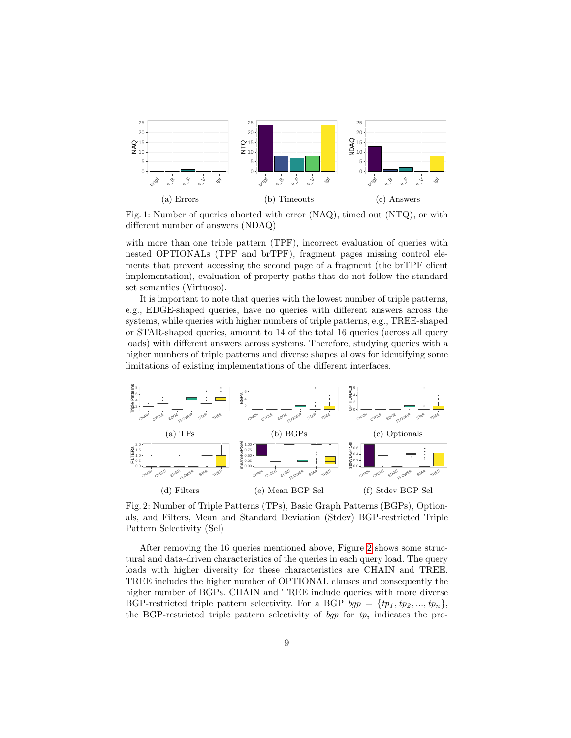<span id="page-8-0"></span>

Fig. 1: Number of queries aborted with error (NAQ), timed out (NTQ), or with different number of answers (NDAQ)

with more than one triple pattern (TPF), incorrect evaluation of queries with nested OPTIONALs (TPF and brTPF), fragment pages missing control elements that prevent accessing the second page of a fragment (the brTPF client implementation), evaluation of property paths that do not follow the standard set semantics (Virtuoso).

It is important to note that queries with the lowest number of triple patterns, e.g., EDGE-shaped queries, have no queries with different answers across the systems, while queries with higher numbers of triple patterns, e.g., TREE-shaped or STAR-shaped queries, amount to 14 of the total 16 queries (across all query loads) with different answers across systems. Therefore, studying queries with a higher numbers of triple patterns and diverse shapes allows for identifying some limitations of existing implementations of the different interfaces.

<span id="page-8-1"></span>

<span id="page-8-3"></span><span id="page-8-2"></span>Fig. 2: Number of Triple Patterns (TPs), Basic Graph Patterns (BGPs), Optionals, and Filters, Mean and Standard Deviation (Stdev) BGP-restricted Triple Pattern Selectivity (Sel)

After removing the 16 queries mentioned above, Figure [2](#page-8-1) shows some structural and data-driven characteristics of the queries in each query load. The query loads with higher diversity for these characteristics are CHAIN and TREE. TREE includes the higher number of OPTIONAL clauses and consequently the higher number of BGPs. CHAIN and TREE include queries with more diverse BGP-restricted triple pattern selectivity. For a BGP  $bgp = \{tp_1, tp_2, ..., tp_n\},\$ the BGP-restricted triple pattern selectivity of  $bgp$  for  $tp_i$  indicates the pro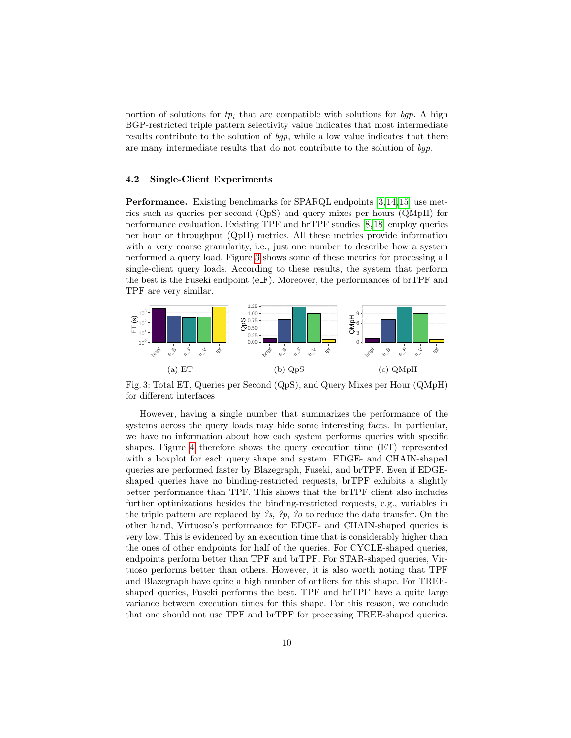portion of solutions for  $tp_i$  that are compatible with solutions for  $bgp$ . A high BGP-restricted triple pattern selectivity value indicates that most intermediate results contribute to the solution of bgp, while a low value indicates that there are many intermediate results that do not contribute to the solution of bgp.

#### 4.2 Single-Client Experiments

Performance. Existing benchmarks for SPARQL endpoints [\[3,](#page-15-8)[14,](#page-15-9)[15\]](#page-15-12) use metrics such as queries per second (QpS) and query mixes per hours (QMpH) for performance evaluation. Existing TPF and brTPF studies [\[8,](#page-15-1) [18\]](#page-15-0) employ queries per hour or throughput (QpH) metrics. All these metrics provide information with a very coarse granularity, i.e., just one number to describe how a system performed a query load. Figure [3](#page-9-0) shows some of these metrics for processing all single-client query loads. According to these results, the system that perform the best is the Fuseki endpoint  $(e_F)$ . Moreover, the performances of brTPF and TPF are very similar.

<span id="page-9-0"></span>

Fig. 3: Total ET, Queries per Second (QpS), and Query Mixes per Hour (QMpH) for different interfaces

However, having a single number that summarizes the performance of the systems across the query loads may hide some interesting facts. In particular, we have no information about how each system performs queries with specific shapes. Figure [4](#page-10-0) therefore shows the query execution time (ET) represented with a boxplot for each query shape and system. EDGE- and CHAIN-shaped queries are performed faster by Blazegraph, Fuseki, and brTPF. Even if EDGEshaped queries have no binding-restricted requests, brTPF exhibits a slightly better performance than TPF. This shows that the brTPF client also includes further optimizations besides the binding-restricted requests, e.g., variables in the triple pattern are replaced by  $\mathscr{S}_{s}$ ,  $\mathscr{S}_{p}$ ,  $\mathscr{S}_{o}$  to reduce the data transfer. On the other hand, Virtuoso's performance for EDGE- and CHAIN-shaped queries is very low. This is evidenced by an execution time that is considerably higher than the ones of other endpoints for half of the queries. For CYCLE-shaped queries, endpoints perform better than TPF and brTPF. For STAR-shaped queries, Virtuoso performs better than others. However, it is also worth noting that TPF and Blazegraph have quite a high number of outliers for this shape. For TREEshaped queries, Fuseki performs the best. TPF and brTPF have a quite large variance between execution times for this shape. For this reason, we conclude that one should not use TPF and brTPF for processing TREE-shaped queries.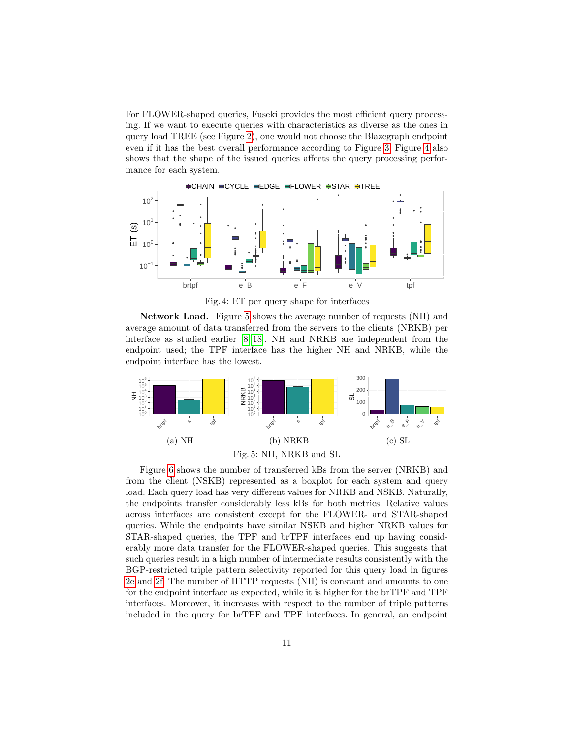For FLOWER-shaped queries, Fuseki provides the most efficient query processing. If we want to execute queries with characteristics as diverse as the ones in query load TREE (see Figure [2\)](#page-8-1), one would not choose the Blazegraph endpoint even if it has the best overall performance according to Figure [3.](#page-9-0) Figure [4](#page-10-0) also shows that the shape of the issued queries affects the query processing performance for each system.

<span id="page-10-0"></span>

<span id="page-10-2"></span>Fig. 4: ET per query shape for interfaces

Network Load. Figure [5](#page-10-1) shows the average number of requests (NH) and average amount of data transferred from the servers to the clients (NRKB) per interface as studied earlier [\[8,](#page-15-1) [18\]](#page-15-0). NH and NRKB are independent from the endpoint used; the TPF interface has the higher NH and NRKB, while the endpoint interface has the lowest.

<span id="page-10-1"></span>

Figure [6](#page-11-0) shows the number of transferred kBs from the server (NRKB) and from the client (NSKB) represented as a boxplot for each system and query load. Each query load has very different values for NRKB and NSKB. Naturally, the endpoints transfer considerably less kBs for both metrics. Relative values across interfaces are consistent except for the FLOWER- and STAR-shaped queries. While the endpoints have similar NSKB and higher NRKB values for STAR-shaped queries, the TPF and brTPF interfaces end up having considerably more data transfer for the FLOWER-shaped queries. This suggests that such queries result in a high number of intermediate results consistently with the BGP-restricted triple pattern selectivity reported for this query load in figures [2e](#page-8-2) and [2f.](#page-8-3) The number of HTTP requests (NH) is constant and amounts to one for the endpoint interface as expected, while it is higher for the brTPF and TPF interfaces. Moreover, it increases with respect to the number of triple patterns included in the query for brTPF and TPF interfaces. In general, an endpoint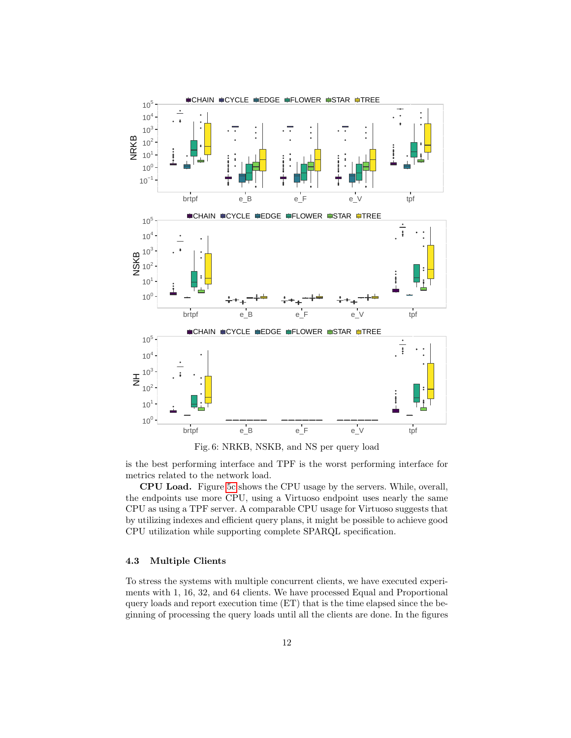<span id="page-11-0"></span>



is the best performing interface and TPF is the worst performing interface for metrics related to the network load.

CPU Load. Figure [5c](#page-10-2) shows the CPU usage by the servers. While, overall, the endpoints use more CPU, using a Virtuoso endpoint uses nearly the same CPU as using a TPF server. A comparable CPU usage for Virtuoso suggests that by utilizing indexes and efficient query plans, it might be possible to achieve good CPU utilization while supporting complete SPARQL specification.

#### 4.3 Multiple Clients

To stress the systems with multiple concurrent clients, we have executed experiments with 1, 16, 32, and 64 clients. We have processed Equal and Proportional query loads and report execution time (ET) that is the time elapsed since the beginning of processing the query loads until all the clients are done. In the figures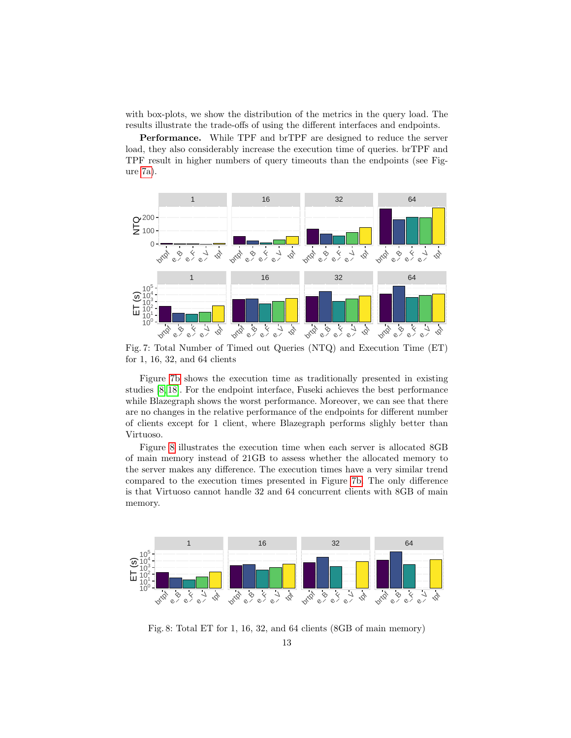with box-plots, we show the distribution of the metrics in the query load. The results illustrate the trade-offs of using the different interfaces and endpoints.

Performance. While TPF and brTPF are designed to reduce the server load, they also considerably increase the execution time of queries. brTPF and TPF result in higher numbers of query timeouts than the endpoints (see Figure [7a\)](#page-12-0).

<span id="page-12-1"></span><span id="page-12-0"></span>

Fig. 7: Total Number of Timed out Queries (NTQ) and Execution Time (ET) for 1, 16, 32, and 64 clients

Figure [7b](#page-12-1) shows the execution time as traditionally presented in existing studies [\[8,](#page-15-1) [18\]](#page-15-0). For the endpoint interface, Fuseki achieves the best performance while Blazegraph shows the worst performance. Moreover, we can see that there are no changes in the relative performance of the endpoints for different number of clients except for 1 client, where Blazegraph performs slighly better than Virtuoso.

Figure [8](#page-12-2) illustrates the execution time when each server is allocated 8GB of main memory instead of 21GB to assess whether the allocated memory to the server makes any difference. The execution times have a very similar trend compared to the execution times presented in Figure [7b.](#page-12-1) The only difference is that Virtuoso cannot handle 32 and 64 concurrent clients with 8GB of main memory.

<span id="page-12-2"></span>

Fig. 8: Total ET for 1, 16, 32, and 64 clients (8GB of main memory)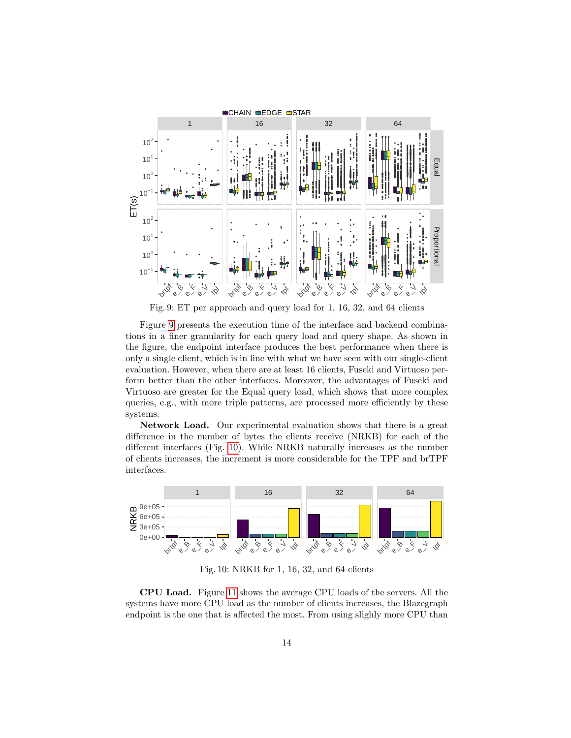<span id="page-13-0"></span>

Fig. 9: ET per approach and query load for 1, 16, 32, and 64 clients

Figure 9 presents the execution time of the interface and backend combinations in a finer granularity for each query load and query shape. As shown in the figure, the endpoint interface produces the best performance when there is only a single client, which is in line with what we have seen with our single-client evaluation. However, when there are at least 16 clients, Fuseki and Virtuoso perform better than the other interfaces. Moreover, the advantages of Fuseki and Virtuoso are greater for the Equal query load, which shows that more complex queries, e.g., with more triple patterns, are processed more efficiently by these systems.

**Network Load.** Our experimental evaluation shows that there is a great difference in the number of bytes the clients receive (NRKB) for each of the different interfaces (Fig. 10). While NRKB naturally increases as the number of clients increases, the increment is more considerable for the TPF and brTPF interfaces.

<span id="page-13-1"></span>

Fig. 10: NRKB for 1, 16, 32, and 64 clients

**CPU Load.** Figure 11 shows the average CPU loads of the servers. All the systems have more CPU load as the number of clients increases, the Blazegraph endpoint is the one that is affected the most. From using slighly more CPU than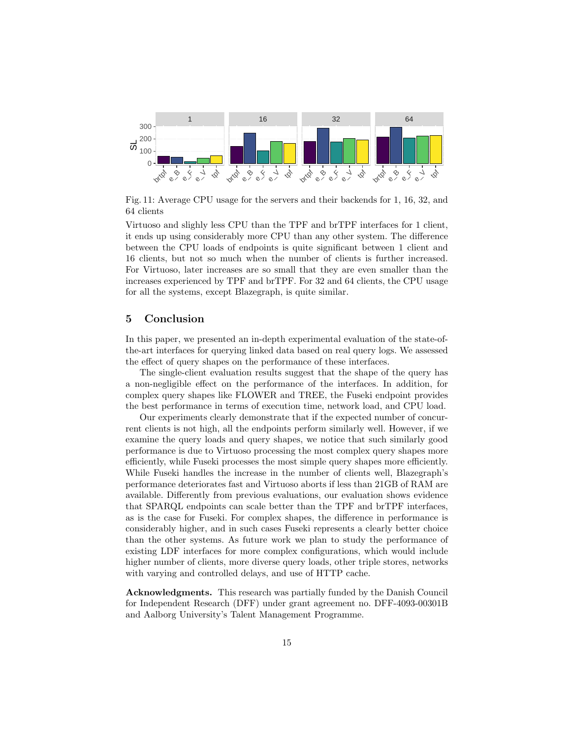<span id="page-14-1"></span>

Fig. 11: Average CPU usage for the servers and their backends for 1, 16, 32, and 64 clients

Virtuoso and slighly less CPU than the TPF and brTPF interfaces for 1 client, it ends up using considerably more CPU than any other system. The difference between the CPU loads of endpoints is quite significant between 1 client and 16 clients, but not so much when the number of clients is further increased. For Virtuoso, later increases are so small that they are even smaller than the increases experienced by TPF and brTPF. For 32 and 64 clients, the CPU usage for all the systems, except Blazegraph, is quite similar.

### <span id="page-14-0"></span>5 Conclusion

In this paper, we presented an in-depth experimental evaluation of the state-ofthe-art interfaces for querying linked data based on real query logs. We assessed the effect of query shapes on the performance of these interfaces.

The single-client evaluation results suggest that the shape of the query has a non-negligible effect on the performance of the interfaces. In addition, for complex query shapes like FLOWER and TREE, the Fuseki endpoint provides the best performance in terms of execution time, network load, and CPU load.

Our experiments clearly demonstrate that if the expected number of concurrent clients is not high, all the endpoints perform similarly well. However, if we examine the query loads and query shapes, we notice that such similarly good performance is due to Virtuoso processing the most complex query shapes more efficiently, while Fuseki processes the most simple query shapes more efficiently. While Fuseki handles the increase in the number of clients well, Blazegraph's performance deteriorates fast and Virtuoso aborts if less than 21GB of RAM are available. Differently from previous evaluations, our evaluation shows evidence that SPARQL endpoints can scale better than the TPF and brTPF interfaces, as is the case for Fuseki. For complex shapes, the difference in performance is considerably higher, and in such cases Fuseki represents a clearly better choice than the other systems. As future work we plan to study the performance of existing LDF interfaces for more complex configurations, which would include higher number of clients, more diverse query loads, other triple stores, networks with varying and controlled delays, and use of HTTP cache.

Acknowledgments. This research was partially funded by the Danish Council for Independent Research (DFF) under grant agreement no. DFF-4093-00301B and Aalborg University's Talent Management Programme.